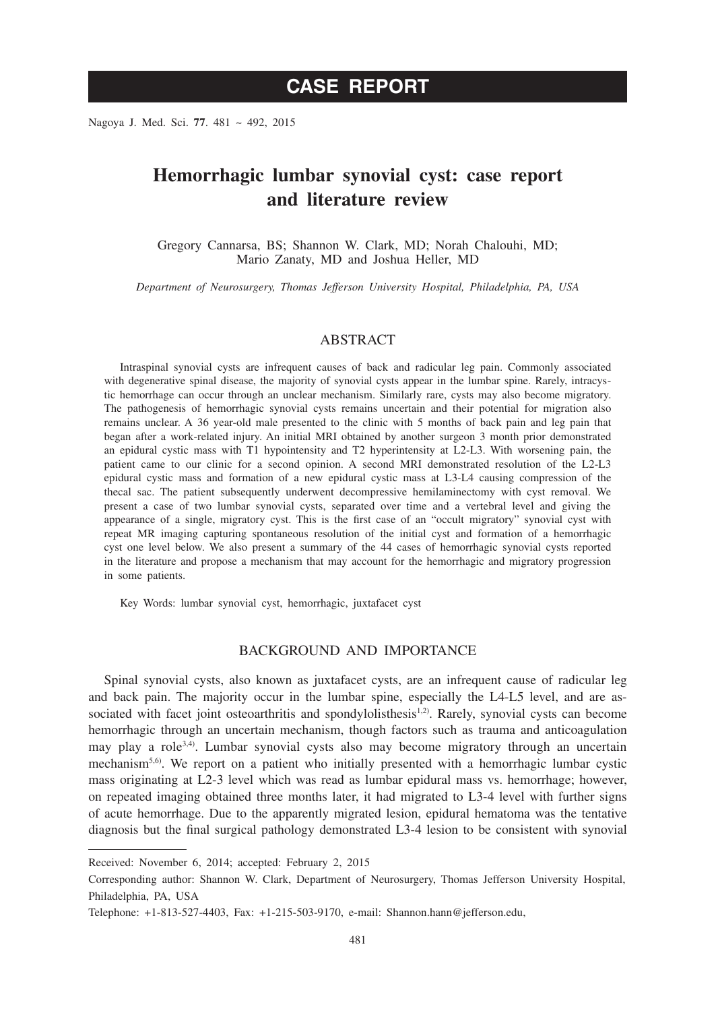# **CASE REPORT**

Nagoya J. Med. Sci. **77**. 481 ~ 492, 2015

# **Hemorrhagic lumbar synovial cyst: case report and literature review**

Gregory Cannarsa, BS; Shannon W. Clark, MD; Norah Chalouhi, MD; Mario Zanaty, MD and Joshua Heller, MD

*Department of Neurosurgery, Thomas Jefferson University Hospital, Philadelphia, PA, USA*

## ABSTRACT

Intraspinal synovial cysts are infrequent causes of back and radicular leg pain. Commonly associated with degenerative spinal disease, the majority of synovial cysts appear in the lumbar spine. Rarely, intracystic hemorrhage can occur through an unclear mechanism. Similarly rare, cysts may also become migratory. The pathogenesis of hemorrhagic synovial cysts remains uncertain and their potential for migration also remains unclear. A 36 year-old male presented to the clinic with 5 months of back pain and leg pain that began after a work-related injury. An initial MRI obtained by another surgeon 3 month prior demonstrated an epidural cystic mass with T1 hypointensity and T2 hyperintensity at L2-L3. With worsening pain, the patient came to our clinic for a second opinion. A second MRI demonstrated resolution of the L2-L3 epidural cystic mass and formation of a new epidural cystic mass at L3-L4 causing compression of the thecal sac. The patient subsequently underwent decompressive hemilaminectomy with cyst removal. We present a case of two lumbar synovial cysts, separated over time and a vertebral level and giving the appearance of a single, migratory cyst. This is the first case of an "occult migratory" synovial cyst with repeat MR imaging capturing spontaneous resolution of the initial cyst and formation of a hemorrhagic cyst one level below. We also present a summary of the 44 cases of hemorrhagic synovial cysts reported in the literature and propose a mechanism that may account for the hemorrhagic and migratory progression in some patients.

Key Words: lumbar synovial cyst, hemorrhagic, juxtafacet cyst

## BACKGROUND AND IMPORTANCE

Spinal synovial cysts, also known as juxtafacet cysts, are an infrequent cause of radicular leg and back pain. The majority occur in the lumbar spine, especially the L4-L5 level, and are associated with facet joint osteoarthritis and spondylolisthesis<sup>1,2)</sup>. Rarely, synovial cysts can become hemorrhagic through an uncertain mechanism, though factors such as trauma and anticoagulation may play a role<sup>3,4)</sup>. Lumbar synovial cysts also may become migratory through an uncertain mechanism<sup>5,6)</sup>. We report on a patient who initially presented with a hemorrhagic lumbar cystic mass originating at L2-3 level which was read as lumbar epidural mass vs. hemorrhage; however, on repeated imaging obtained three months later, it had migrated to L3-4 level with further signs of acute hemorrhage. Due to the apparently migrated lesion, epidural hematoma was the tentative diagnosis but the final surgical pathology demonstrated L3-4 lesion to be consistent with synovial

Received: November 6, 2014; accepted: February 2, 2015

Corresponding author: Shannon W. Clark, Department of Neurosurgery, Thomas Jefferson University Hospital, Philadelphia, PA, USA

Telephone: +1-813-527-4403, Fax: +1-215-503-9170, e-mail: Shannon.hann@jefferson.edu,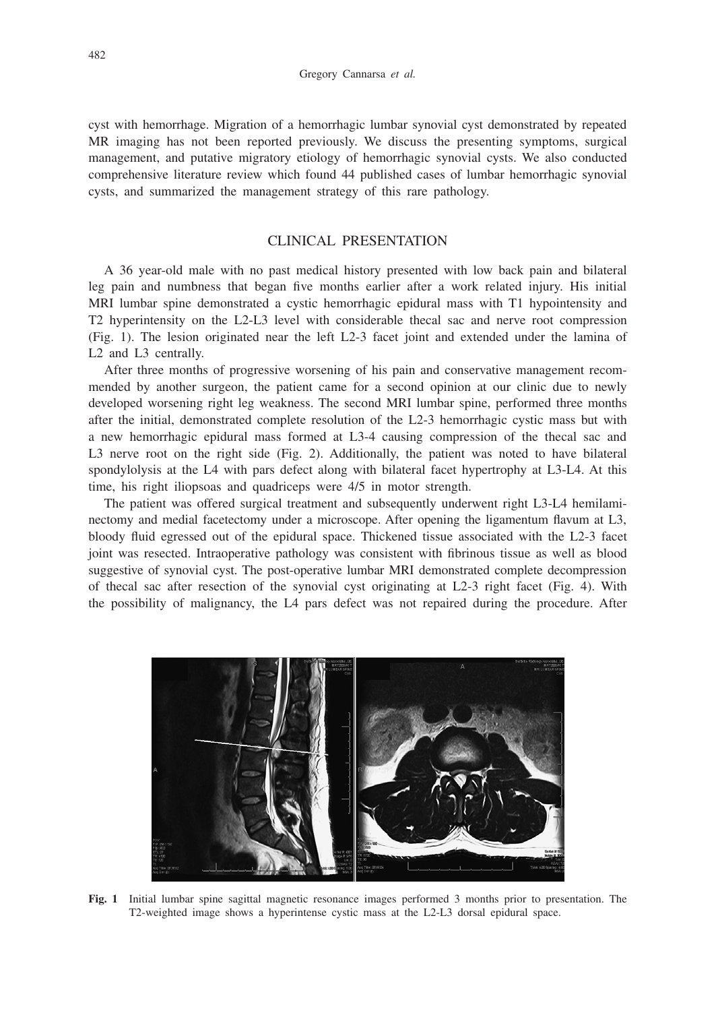cyst with hemorrhage. Migration of a hemorrhagic lumbar synovial cyst demonstrated by repeated MR imaging has not been reported previously. We discuss the presenting symptoms, surgical management, and putative migratory etiology of hemorrhagic synovial cysts. We also conducted comprehensive literature review which found 44 published cases of lumbar hemorrhagic synovial cysts, and summarized the management strategy of this rare pathology.

## CLINICAL PRESENTATION

A 36 year-old male with no past medical history presented with low back pain and bilateral leg pain and numbness that began five months earlier after a work related injury. His initial MRI lumbar spine demonstrated a cystic hemorrhagic epidural mass with T1 hypointensity and T2 hyperintensity on the L2-L3 level with considerable thecal sac and nerve root compression (Fig. 1). The lesion originated near the left L2-3 facet joint and extended under the lamina of L2 and L3 centrally.

After three months of progressive worsening of his pain and conservative management recommended by another surgeon, the patient came for a second opinion at our clinic due to newly developed worsening right leg weakness. The second MRI lumbar spine, performed three months after the initial, demonstrated complete resolution of the L2-3 hemorrhagic cystic mass but with a new hemorrhagic epidural mass formed at L3-4 causing compression of the thecal sac and L3 nerve root on the right side (Fig. 2). Additionally, the patient was noted to have bilateral spondylolysis at the L4 with pars defect along with bilateral facet hypertrophy at L3-L4. At this time, his right iliopsoas and quadriceps were 4/5 in motor strength.

The patient was offered surgical treatment and subsequently underwent right L3-L4 hemilaminectomy and medial facetectomy under a microscope. After opening the ligamentum flavum at L3, bloody fluid egressed out of the epidural space. Thickened tissue associated with the L2-3 facet joint was resected. Intraoperative pathology was consistent with fibrinous tissue as well as blood suggestive of synovial cyst. The post-operative lumbar MRI demonstrated complete decompression of thecal sac after resection of the synovial cyst originating at L2-3 right facet (Fig. 4). With the possibility of malignancy, the L4 pars defect was not repaired during the procedure. After



**Fig. 1** Initial lumbar spine sagittal magnetic resonance images performed 3 months prior to presentation. The T2-weighted image shows a hyperintense cystic mass at the L2-L3 dorsal epidural space.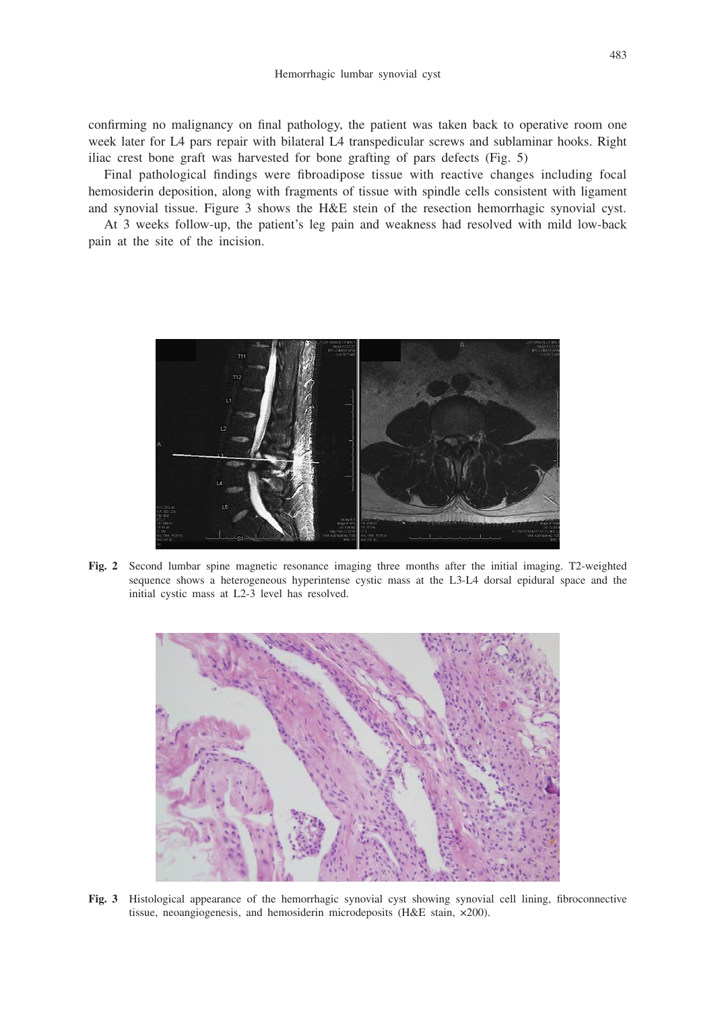confirming no malignancy on final pathology, the patient was taken back to operative room one week later for L4 pars repair with bilateral L4 transpedicular screws and sublaminar hooks. Right iliac crest bone graft was harvested for bone grafting of pars defects (Fig. 5)

Final pathological findings were fibroadipose tissue with reactive changes including focal hemosiderin deposition, along with fragments of tissue with spindle cells consistent with ligament and synovial tissue. Figure 3 shows the H&E stein of the resection hemorrhagic synovial cyst.

At 3 weeks follow-up, the patient's leg pain and weakness had resolved with mild low-back pain at the site of the incision.



**Fig. 2** Second lumbar spine magnetic resonance imaging three months after the initial imaging. T2-weighted sequence shows a heterogeneous hyperintense cystic mass at the L3-L4 dorsal epidural space and the initial cystic mass at L2-3 level has resolved.



**Fig. 3** Histological appearance of the hemorrhagic synovial cyst showing synovial cell lining, fibroconnective tissue, neoangiogenesis, and hemosiderin microdeposits (H&E stain, ×200).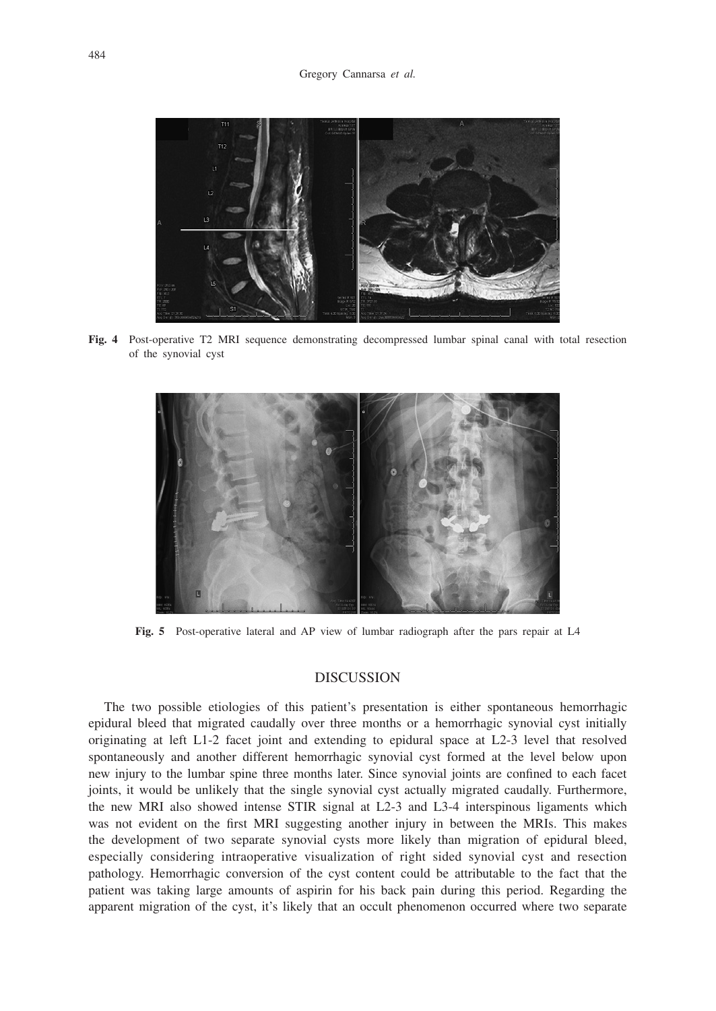

**Fig. 4** Post-operative T2 MRI sequence demonstrating decompressed lumbar spinal canal with total resection of the synovial cyst



**Fig. 5** Post-operative lateral and AP view of lumbar radiograph after the pars repair at L4

### **DISCUSSION**

The two possible etiologies of this patient's presentation is either spontaneous hemorrhagic epidural bleed that migrated caudally over three months or a hemorrhagic synovial cyst initially originating at left L1-2 facet joint and extending to epidural space at L2-3 level that resolved spontaneously and another different hemorrhagic synovial cyst formed at the level below upon new injury to the lumbar spine three months later. Since synovial joints are confined to each facet joints, it would be unlikely that the single synovial cyst actually migrated caudally. Furthermore, the new MRI also showed intense STIR signal at L2-3 and L3-4 interspinous ligaments which was not evident on the first MRI suggesting another injury in between the MRIs. This makes the development of two separate synovial cysts more likely than migration of epidural bleed, especially considering intraoperative visualization of right sided synovial cyst and resection pathology. Hemorrhagic conversion of the cyst content could be attributable to the fact that the patient was taking large amounts of aspirin for his back pain during this period. Regarding the apparent migration of the cyst, it's likely that an occult phenomenon occurred where two separate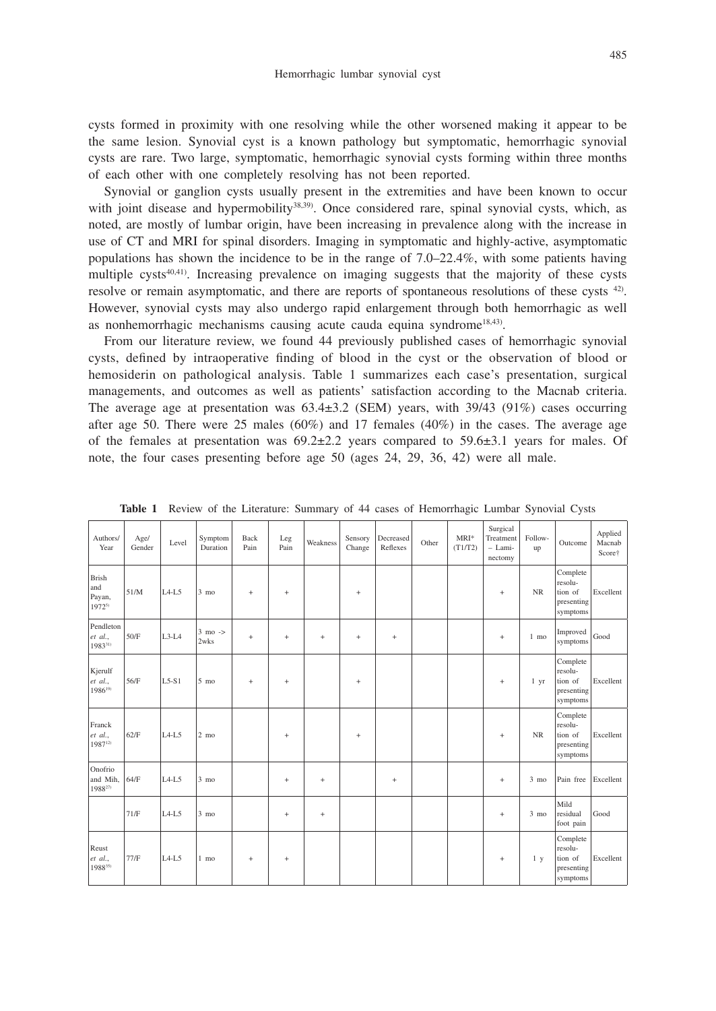cysts formed in proximity with one resolving while the other worsened making it appear to be the same lesion. Synovial cyst is a known pathology but symptomatic, hemorrhagic synovial cysts are rare. Two large, symptomatic, hemorrhagic synovial cysts forming within three months of each other with one completely resolving has not been reported.

Synovial or ganglion cysts usually present in the extremities and have been known to occur with joint disease and hypermobility<sup>38,39</sup>. Once considered rare, spinal synovial cysts, which, as noted, are mostly of lumbar origin, have been increasing in prevalence along with the increase in use of CT and MRI for spinal disorders. Imaging in symptomatic and highly-active, asymptomatic populations has shown the incidence to be in the range of 7.0–22.4%, with some patients having multiple  $\text{cvsts}^{40,41}$ . Increasing prevalence on imaging suggests that the majority of these cysts resolve or remain asymptomatic, and there are reports of spontaneous resolutions of these cysts 42). However, synovial cysts may also undergo rapid enlargement through both hemorrhagic as well as nonhemorrhagic mechanisms causing acute cauda equina syndrome<sup>18,43)</sup>.

From our literature review, we found 44 previously published cases of hemorrhagic synovial cysts, defined by intraoperative finding of blood in the cyst or the observation of blood or hemosiderin on pathological analysis. Table 1 summarizes each case's presentation, surgical managements, and outcomes as well as patients' satisfaction according to the Macnab criteria. The average age at presentation was  $63.4\pm3.2$  (SEM) years, with  $39/43$  (91%) cases occurring after age 50. There were 25 males (60%) and 17 females (40%) in the cases. The average age of the females at presentation was  $69.2 \pm 2.2$  years compared to  $59.6 \pm 3.1$  years for males. Of note, the four cases presenting before age 50 (ages 24, 29, 36, 42) were all male.

| Authors/<br>Year                            | Age/<br>Gender | Level   | Symptom<br>Duration       | Back<br>Pain | Leg<br>Pain     | Weakness | Sensory<br>Change | Decreased<br>Reflexes            | Other | $MRI*$<br>(T1/T2) | Surgical<br>Treatment<br>$-$ Lami-<br>nectomy | Follow-<br>up  | Outcome                                                  | Applied<br>Macnab<br>Score† |
|---------------------------------------------|----------------|---------|---------------------------|--------------|-----------------|----------|-------------------|----------------------------------|-------|-------------------|-----------------------------------------------|----------------|----------------------------------------------------------|-----------------------------|
| <b>Brish</b><br>and<br>Payan,<br>$1972^{5}$ | 51/M           | $L4-L5$ | $3 \text{ mo}$            | $^{+}$       | $\! + \!\!\!\!$ |          | $\! + \!\!\!\!$   |                                  |       |                   | $\! + \!\!\!\!$                               | <b>NR</b>      | Complete<br>resolu-<br>tion of<br>presenting<br>symptoms | Excellent                   |
| Pendleton<br>et al.,<br>198331)             | 50/F           | $L3-L4$ | $3 \text{ mo}$ -><br>2wks | $^{+}$       | $^{+}$          |          | $^{+}$            | $\! + \!\!\!\!$                  |       |                   | $+$                                           | $1 \text{ mo}$ | Improved<br>symptoms                                     | Good                        |
| Kjerulf<br>et al.,<br>1986 <sup>19)</sup>   | 56/F           | $L5-S1$ | $5 \text{ mo}$            | $^{+}$       |                 |          | $\! + \!\!\!\!$   |                                  |       |                   | $\begin{array}{c} + \end{array}$              | 1 yr           | Complete<br>resolu-<br>tion of<br>presenting<br>symptoms | Excellent                   |
| Franck<br>et al<br>198712)                  | 62/F           | $L4-L5$ | $2 \text{ mo}$            |              | $\ddot{}$       |          | $\! + \!\!\!\!$   |                                  |       |                   | $+$                                           | <b>NR</b>      | Complete<br>resolu-<br>tion of<br>presenting<br>symptoms | Excellent                   |
| Onofrio<br>and Mih.<br>1988 <sup>27)</sup>  | 64/F           | $L4-L5$ | $3 \text{ mo}$            |              | $\ddot{}$       |          |                   | $\begin{array}{c} + \end{array}$ |       |                   | $+$                                           | $3 \text{ mo}$ | Pain free                                                | Excellent                   |
|                                             | 71/F           | $L4-L5$ | $3 \text{ mo}$            |              | $\! + \!\!\!\!$ |          |                   |                                  |       |                   | $+$                                           | $3 \text{ mo}$ | Mild<br>residual<br>foot pain                            | Good                        |
| Reust<br>et al.,<br>198835)                 | 77/F           | $L4-L5$ | 1 mo                      | $^{+}$       |                 |          |                   |                                  |       |                   | $\begin{array}{c} + \end{array}$              | 1 <sub>y</sub> | Complete<br>resolu-<br>tion of<br>presenting<br>symptoms | Excellent                   |

**Table 1** Review of the Literature: Summary of 44 cases of Hemorrhagic Lumbar Synovial Cysts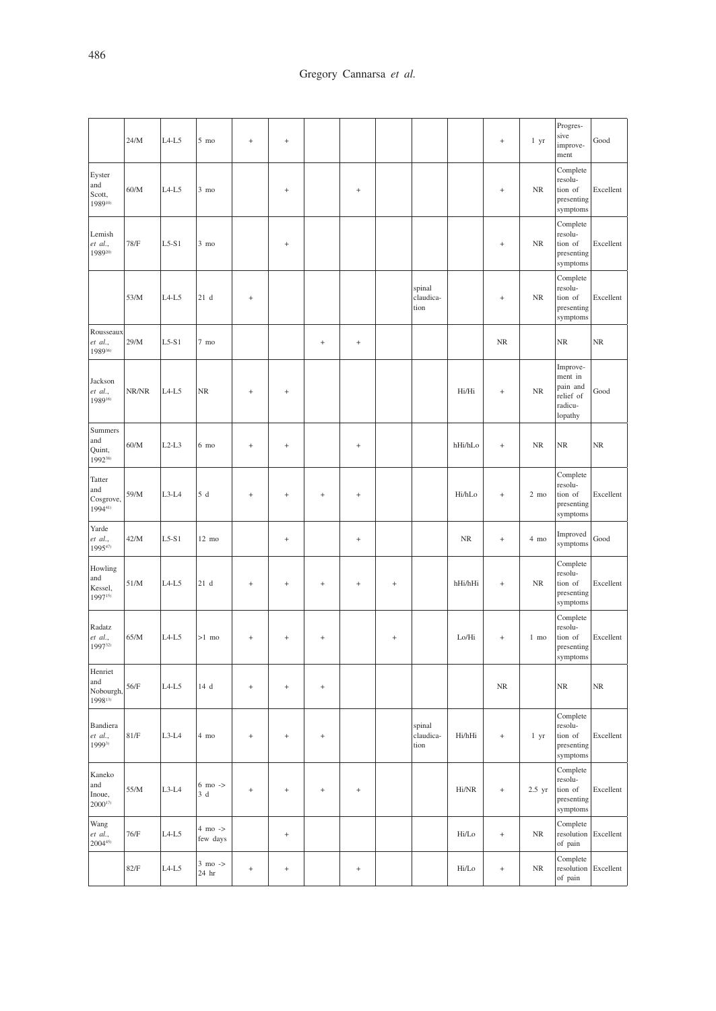|                                        | 24/M  | $L4-L5$ | $5 \text{ mo}$                      | $^{+}$            | $\qquad \qquad +$ |           |           |        |                             |         | $\ddot{}$ | 1 yr           | Progres-<br>sive<br>improve-<br>ment                               | Good      |
|----------------------------------------|-------|---------|-------------------------------------|-------------------|-------------------|-----------|-----------|--------|-----------------------------|---------|-----------|----------------|--------------------------------------------------------------------|-----------|
| Eyster<br>and<br>Scott,<br>198910)     | 60/M  | $L4-L5$ | $3 \text{ mo}$                      |                   | $\qquad \qquad +$ |           | $^{+}$    |        |                             |         | $^{+}$    | $\rm NR$       | Complete<br>resolu-<br>tion of<br>presenting<br>symptoms           | Excellent |
| Lemish<br>et al.,<br>198920)           | 78/F  | $L5-S1$ | $3 \text{ mo}$                      |                   | $\qquad \qquad +$ |           |           |        |                             |         | $^{+}$    | $\rm NR$       | Complete<br>resolu-<br>tion of<br>presenting<br>symptoms           | Excellent |
|                                        | 53/M  | $L4-L5$ | 21d                                 | $^{\mathrm{+}}$   |                   |           |           |        | spinal<br>claudica-<br>tion |         | $^{+}$    | $\rm NR$       | Complete<br>resolu-<br>tion of<br>presenting<br>symptoms           | Excellent |
| Rousseaux<br>et al.,<br>198936)        | 29/M  | $L5-S1$ | $7 \text{ mo}$                      |                   |                   | $^{+}$    | $^{+}$    |        |                             |         | $\rm NR$  |                | NR                                                                 | NR        |
| Jackson<br>et al.,<br>198916)          | NR/NR | $L4-L5$ | NR                                  | $^{+}$            | $\qquad \qquad +$ |           |           |        |                             | Hi/Hi   | $\ddot{}$ | $\rm NR$       | Improve-<br>ment in<br>pain and<br>relief of<br>radicu-<br>lopathy | Good      |
| Summers<br>and<br>Quint,<br>199238)    | 60/M  | $L2-L3$ | $6 \text{ mo}$                      | $^{+}$            | $\qquad \qquad +$ |           | $^{+}$    |        |                             | hHi/hLo | $\ddot{}$ | $\rm NR$       | NR                                                                 | NR        |
| Tatter<br>and<br>Cosgrove,<br>199441)  | 59/M  | $L3-L4$ | 5d                                  | $\ddot{}$         | $\ddot{}$         | $\ddot{}$ | $\ddot{}$ |        |                             | Hi/hLo  | $\ddot{}$ | $2 \text{ mo}$ | Complete<br>resolu-<br>tion of<br>presenting<br>symptoms           | Excellent |
| Yarde<br>et al.,<br>$1995^{47}$        | 42/M  | $L5-S1$ | 12 mo                               |                   | $^{\mathrm{+}}$   |           | $^{+}$    |        |                             | NR      | $\ddot{}$ | $4 \text{ mo}$ | Improved<br>symptoms                                               | Good      |
| Howling<br>and<br>Kessel,<br>199715)   | 51/M  | $L4-L5$ | 21d                                 | $^{+}$            | $\! + \!$         | $^{+}$    | $^{+}$    | $^{+}$ |                             | hHi/hHi | $^{+}$    | $\rm NR$       | Complete<br>resolu-<br>tion of<br>presenting<br>symptoms           | Excellent |
| Radatz<br>et al.,<br>199732)           | 65/M  | $L4-L5$ | $>1$ mo                             | $^{+}$            | $^{\mathrm{+}}$   | $^{+}$    |           | $^{+}$ |                             | Lo/Hi   | $\ddot{}$ | $1$ mo         | Complete<br>resolu-<br>tion of<br>presenting<br>symptoms           | Excellent |
| Henriet<br>and<br>Nobourgh,<br>199813) | 56/F  | $L4-L5$ | 14 d                                | $^{+}$            | $^{+}$            | $^{+}$    |           |        |                             |         | $\rm NR$  |                | NR                                                                 | NR        |
| Bandiera<br>et al.,<br>19993)          | 81/F  | $L3-L4$ | 4 mo                                | $^{+}$            | $^{+}$            | $\! + \!$ |           |        | spinal<br>claudica-<br>tion | Hi/hHi  | $\ddot{}$ | 1 yr           | Complete<br>resolu-<br>tion of<br>presenting<br>symptoms           | Excellent |
| Kaneko<br>and<br>Inoue,<br>$2000^{17}$ | 55/M  | $L3-L4$ | $6 \text{ mo}$ -><br>3d             | $\qquad \qquad +$ | $\qquad \qquad +$ | $\! + \!$ | $^{+}$    |        |                             | Hi/NR   | $\ddot{}$ | $2.5$ yr       | Complete<br>resolu-<br>tion of<br>presenting<br>symptoms           | Excellent |
| Wang<br>et al.,<br>$2004^{45}$         | 76/F  | $L4-L5$ | $4 \,$ mo $\texttt{->}$<br>few days |                   | $^{+}$            |           |           |        |                             | Hi/Lo   | $\ddot{}$ | $\rm NR$       | Complete<br>resolution Excellent<br>of pain                        |           |
|                                        | 82/F  | $L4-L5$ | $3 \text{ mo}$ -><br>24 hr          | $\qquad \qquad +$ | $^{\mathrm{+}}$   |           | $\! + \!$ |        |                             | Hi/Lo   | $\ddot{}$ | $\rm NR$       | Complete<br>resolution Excellent<br>of pain                        |           |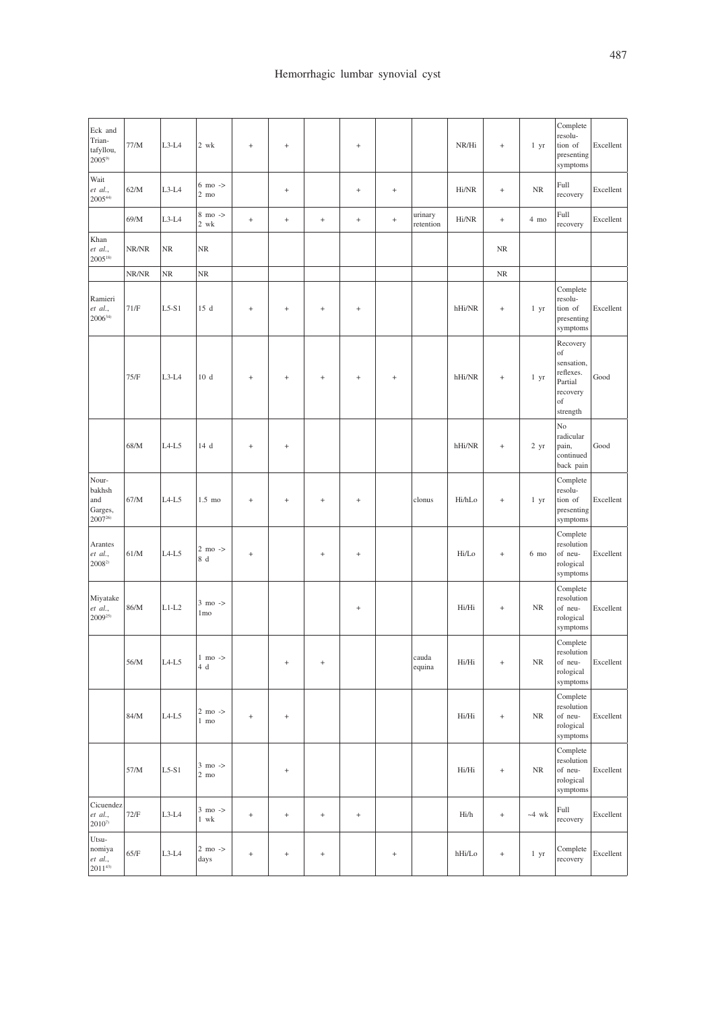| Eck and<br>Trian-<br>tafyllou,<br>$2005^{9}$     | 77/M  | $L3-L4$ | 2 wk                                 | $\! + \!$ | $\qquad \qquad +$ |                 | $^{\mathrm{+}}$ |                 |                      | NR/Hi  | $\ddot{}$ | 1 yr            | Complete<br>resolu-<br>tion of<br>presenting<br>symptoms                           | Excellent |
|--------------------------------------------------|-------|---------|--------------------------------------|-----------|-------------------|-----------------|-----------------|-----------------|----------------------|--------|-----------|-----------------|------------------------------------------------------------------------------------|-----------|
| Wait<br>et al.,<br>$2005^{44}$                   | 62/M  | $L3-L4$ | $6 \text{ mo}$ -><br>$2 \text{ mo}$  |           | $\ddot{}$         |                 | $\! + \!$       | $\! + \!$       |                      | Hi/NR  | $\ddot{}$ | $\rm NR$        | Full<br>recovery                                                                   | Excellent |
|                                                  | 69/M  | $L3-L4$ | $8 \text{ mo}$ -><br>$2$ wk          | $\! + \!$ | $\! + \!$         | $\! + \!$       | $\! + \!$       | $\! + \!$       | urinary<br>retention | Hi/NR  | $\ddot{}$ | 4 mo            | Full<br>recovery                                                                   | Excellent |
| Khan<br>et al.,<br>200518)                       | NR/NR | NR      | $\rm NR$                             |           |                   |                 |                 |                 |                      |        | $\rm NR$  |                 |                                                                                    |           |
|                                                  | NR/NR | NR      | <b>NR</b>                            |           |                   |                 |                 |                 |                      |        | $\rm NR$  |                 |                                                                                    |           |
| Ramieri<br>et al.,<br>$2006^{34}$                | 71/F  | $L5-S1$ | 15 d                                 | $\ddot{}$ | $\ddot{}$         | $^{+}$          | $^{+}$          |                 |                      | hHi/NR | $\ddot{}$ | 1 yr            | Complete<br>resolu-<br>tion of<br>presenting<br>symptoms                           | Excellent |
|                                                  | 75/F  | $L3-L4$ | 10d                                  | $^{+}$    | $\ddot{}$         | $^{+}$          | $^{+}$          | $^{+}$          |                      | hHi/NR | $\ddot{}$ | 1 <sub>yr</sub> | Recovery<br>of<br>sensation,<br>reflexes.<br>Partial<br>recovery<br>of<br>strength | Good      |
|                                                  | 68/M  | $L4-L5$ | 14 d                                 | $\! + \!$ | $\ddot{}$         |                 |                 |                 |                      | hHi/NR | $\ddot{}$ | 2 <sub>yr</sub> | No<br>radicular<br>pain,<br>continued<br>back pain                                 | Good      |
| Nour-<br>bakhsh<br>and<br>Garges,<br>$2007^{26}$ | 67/M  | $L4-L5$ | $1.5 \text{ mo}$                     | $^{+}$    | $\ddot{}$         | $^{+}$          | $^{+}$          |                 | clonus               | Hi/hLo | $\ddot{}$ | 1 yr            | Complete<br>resolu-<br>tion of<br>presenting<br>symptoms                           | Excellent |
| Arantes<br>et al.,<br>2008 <sup>2)</sup>         | 61/M  | $L4-L5$ | $2 \text{ mo}$ -><br>8 d             | $^{+}$    |                   | $\! + \!\!\!\!$ | $^{+}$          |                 |                      | Hi/Lo  | $\ddot{}$ | 6 mo            | Complete<br>resolution<br>of neu-<br>rological<br>symptoms                         | Excellent |
| Miyatake<br>et al.,<br>$2009^{25}$               | 86/M  | $L1-L2$ | $3 \text{ mo}$ -><br>1 <sub>mo</sub> |           |                   |                 | $^{+}$          |                 |                      | Hi/Hi  | $\ddot{}$ | $\rm NR$        | Complete<br>resolution<br>of neu-<br>rological<br>symptoms                         | Excellent |
|                                                  | 56/M  | $L4-L5$ | $1 \text{ mo}$ -><br>4d              |           | $^{+}$            | $\! + \!$       |                 |                 | cauda<br>equina      | Hi/Hi  | $\ddot{}$ | $\rm NR$        | Complete<br>resolution<br>of neu-<br>rological<br>symptoms                         | Excellent |
|                                                  | 84/M  | $L4-L5$ | $2 \text{ mo}$ -><br>1 mo            | $\! + \!$ | $\qquad \qquad +$ |                 |                 |                 |                      | Hi/Hi  | $\ddot{}$ | <b>NR</b>       | Complete<br>resolution<br>of neu-<br>rological<br>symptoms                         | Excellent |
|                                                  | 57/M  | $L5-S1$ | $3 \text{ mo}$ -><br>$2 \text{ mo}$  |           | $\qquad \qquad +$ |                 |                 |                 |                      | Hi/Hi  | $\ddot{}$ | $\rm NR$        | Complete<br>resolution<br>of neu-<br>rological<br>symptoms                         | Excellent |
| Cicuendez<br>et al.,<br>$2010^{7}$               | 72/F  | $L3-L4$ | $3 \text{ mo}$ -><br>$1 \,$ wk       | $\! + \!$ | $^{+}$            | $\! + \!$       | $^{+}$          |                 |                      | Hi/h   | $\ddot{}$ | $~\sim$ 4 wk    | Full<br>recovery                                                                   | Excellent |
| Utsu-<br>nomiya<br>et al.,<br>201143)            | 65/F  | $L3-L4$ | $2 \text{ mo}$ -><br>days            | $\! + \!$ | $\! + \!$         | $\! + \!$       |                 | $\! + \!\!\!\!$ |                      | hHi/Lo | $^{+}$    | 1 <sub>yr</sub> | Complete<br>recovery                                                               | Excellent |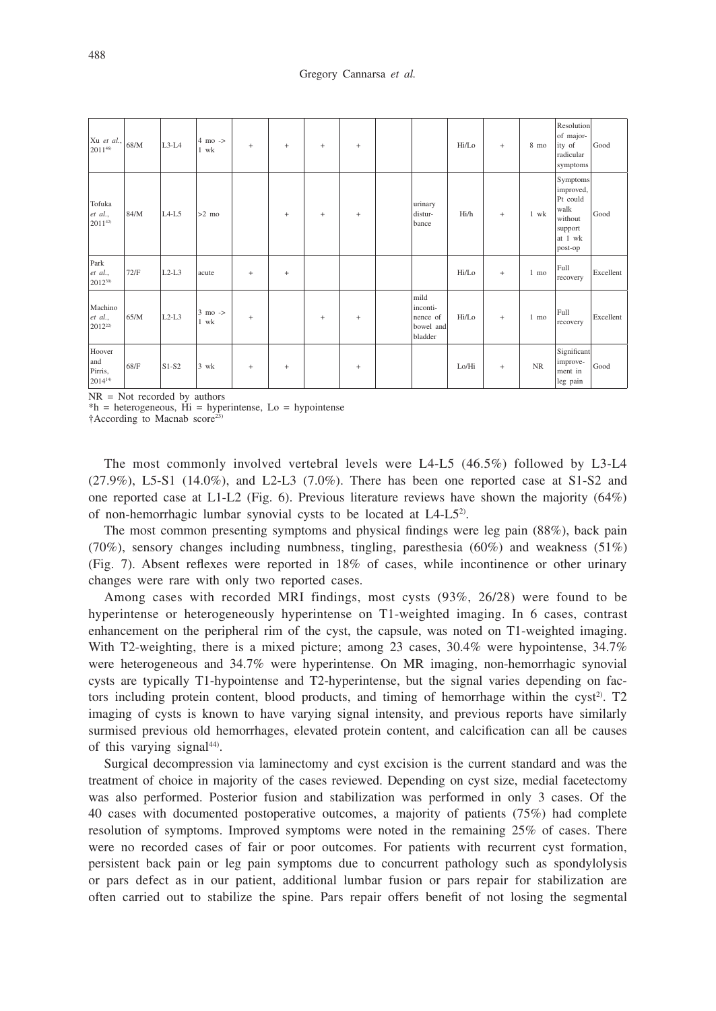| $ Xu \text{ et al.},  _{68/M}$<br>201146)       |      | $L3-L4$ | $4 \text{ mo}$ -><br>1 wk | $^{+}$ | $\ddot{}$ | $^{+}$    | $\begin{array}{c} + \end{array}$ |                                                      | Hi/Lo | $\ddot{}$ | 8 mo           | Resolution<br>of major-<br>ity of<br>radicular<br>symptoms                            | Good      |
|-------------------------------------------------|------|---------|---------------------------|--------|-----------|-----------|----------------------------------|------------------------------------------------------|-------|-----------|----------------|---------------------------------------------------------------------------------------|-----------|
| Tofuka<br>et al.,<br>$2011^{42}$                | 84/M | $L4-L5$ | $>2$ mo                   |        | $\ddot{}$ | $\ddot{}$ | $^{+}$                           | urinary<br>distur-<br>bance                          | Hi/h  | $\ddot{}$ | 1 wk           | Symptoms<br>improved,<br>Pt could<br>walk<br>without<br>support<br>at 1 wk<br>post-op | Good      |
| Park<br>et al.,<br>201230)                      | 72/F | $L2-L3$ | acute                     | $^{+}$ | $\ddot{}$ |           |                                  |                                                      | Hi/Lo | $\ddot{}$ | $1 \text{ mo}$ | Full<br>recovery                                                                      | Excellent |
| Machino<br>et al.,<br>2012 <sup>22)</sup>       | 65/M | $L2-L3$ | $3 \text{ mo}$ -><br>1 wk | $^{+}$ |           | $^{+}$    | $^{+}$                           | mild<br>inconti-<br>nence of<br>bowel and<br>bladder | Hi/Lo | $\ddot{}$ | 1 mo           | Full<br>recovery                                                                      | Excellent |
| Hoover<br>and<br>Pirris,<br>$ 2014^{14}\rangle$ | 68/F | $S1-S2$ | $3$ wk                    | $^{+}$ | $^{+}$    |           | $^{+}$                           |                                                      | Lo/Hi | $\ddot{}$ | <b>NR</b>      | Significant<br>improve-<br>ment in<br>leg pain                                        | Good      |

NR = Not recorded by authors

 $*h = heterogeneous$ ,  $Hi = hyperintense$ ,  $Lo = hypointense$ 

†According to Macnab score23)

The most commonly involved vertebral levels were L4-L5 (46.5%) followed by L3-L4  $(27.9\%)$ , L5-S1  $(14.0\%)$ , and L2-L3  $(7.0\%)$ . There has been one reported case at S1-S2 and one reported case at L1-L2 (Fig. 6). Previous literature reviews have shown the majority  $(64%)$ of non-hemorrhagic lumbar synovial cysts to be located at L4-L52).

The most common presenting symptoms and physical findings were leg pain (88%), back pain (70%), sensory changes including numbness, tingling, paresthesia (60%) and weakness (51%) (Fig. 7). Absent reflexes were reported in 18% of cases, while incontinence or other urinary changes were rare with only two reported cases.

Among cases with recorded MRI findings, most cysts (93%, 26/28) were found to be hyperintense or heterogeneously hyperintense on T1-weighted imaging. In 6 cases, contrast enhancement on the peripheral rim of the cyst, the capsule, was noted on T1-weighted imaging. With T2-weighting, there is a mixed picture; among 23 cases, 30.4% were hypointense, 34.7% were heterogeneous and 34.7% were hyperintense. On MR imaging, non-hemorrhagic synovial cysts are typically T1-hypointense and T2-hyperintense, but the signal varies depending on factors including protein content, blood products, and timing of hemorrhage within the cyst<sup>2)</sup>. T2 imaging of cysts is known to have varying signal intensity, and previous reports have similarly surmised previous old hemorrhages, elevated protein content, and calcification can all be causes of this varying signal<sup>44)</sup>.

Surgical decompression via laminectomy and cyst excision is the current standard and was the treatment of choice in majority of the cases reviewed. Depending on cyst size, medial facetectomy was also performed. Posterior fusion and stabilization was performed in only 3 cases. Of the 40 cases with documented postoperative outcomes, a majority of patients (75%) had complete resolution of symptoms. Improved symptoms were noted in the remaining 25% of cases. There were no recorded cases of fair or poor outcomes. For patients with recurrent cyst formation, persistent back pain or leg pain symptoms due to concurrent pathology such as spondylolysis or pars defect as in our patient, additional lumbar fusion or pars repair for stabilization are often carried out to stabilize the spine. Pars repair offers benefit of not losing the segmental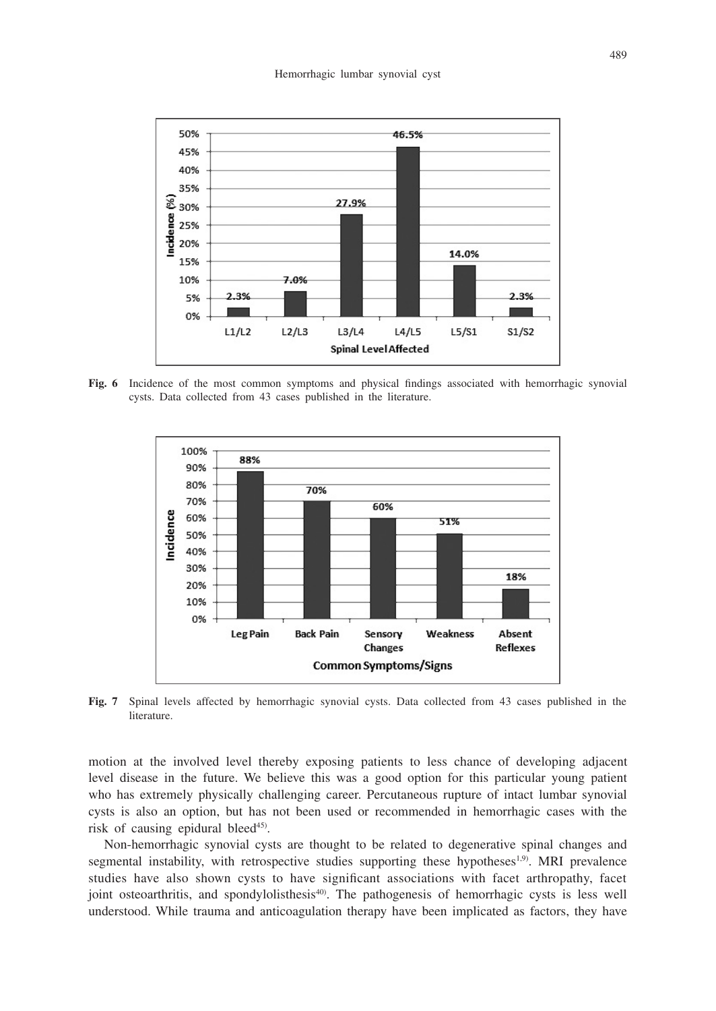

**Fig. 6** Incidence of the most common symptoms and physical findings associated with hemorrhagic synovial cysts. Data collected from 43 cases published in the literature.



**Fig. 7** Spinal levels affected by hemorrhagic synovial cysts. Data collected from 43 cases published in the literature.

motion at the involved level thereby exposing patients to less chance of developing adjacent level disease in the future. We believe this was a good option for this particular young patient who has extremely physically challenging career. Percutaneous rupture of intact lumbar synovial cysts is also an option, but has not been used or recommended in hemorrhagic cases with the risk of causing epidural bleed<sup>45)</sup>.

Non-hemorrhagic synovial cysts are thought to be related to degenerative spinal changes and segmental instability, with retrospective studies supporting these hypotheses<sup>1,9)</sup>. MRI prevalence studies have also shown cysts to have significant associations with facet arthropathy, facet joint osteoarthritis, and spondylolisthesis<sup>40</sup>. The pathogenesis of hemorrhagic cysts is less well understood. While trauma and anticoagulation therapy have been implicated as factors, they have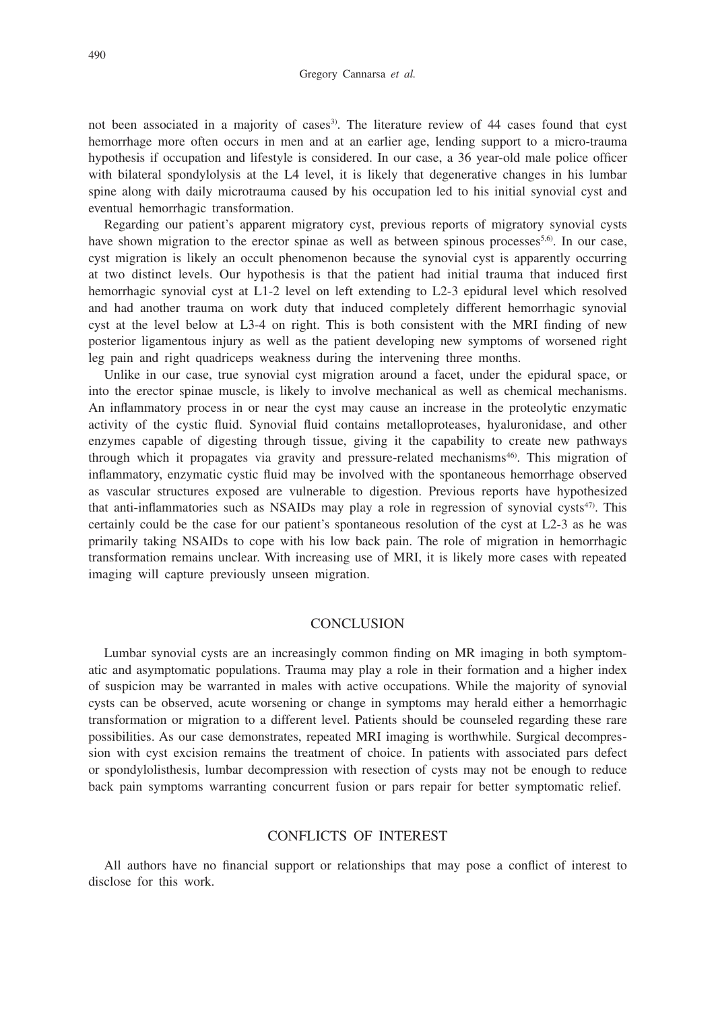not been associated in a majority of cases<sup>3</sup>. The literature review of 44 cases found that cyst hemorrhage more often occurs in men and at an earlier age, lending support to a micro-trauma hypothesis if occupation and lifestyle is considered. In our case, a 36 year-old male police officer with bilateral spondylolysis at the L4 level, it is likely that degenerative changes in his lumbar spine along with daily microtrauma caused by his occupation led to his initial synovial cyst and eventual hemorrhagic transformation.

Regarding our patient's apparent migratory cyst, previous reports of migratory synovial cysts have shown migration to the erector spinae as well as between spinous processes<sup>5,6)</sup>. In our case, cyst migration is likely an occult phenomenon because the synovial cyst is apparently occurring at two distinct levels. Our hypothesis is that the patient had initial trauma that induced first hemorrhagic synovial cyst at L1-2 level on left extending to L2-3 epidural level which resolved and had another trauma on work duty that induced completely different hemorrhagic synovial cyst at the level below at L3-4 on right. This is both consistent with the MRI finding of new posterior ligamentous injury as well as the patient developing new symptoms of worsened right leg pain and right quadriceps weakness during the intervening three months.

Unlike in our case, true synovial cyst migration around a facet, under the epidural space, or into the erector spinae muscle, is likely to involve mechanical as well as chemical mechanisms. An inflammatory process in or near the cyst may cause an increase in the proteolytic enzymatic activity of the cystic fluid. Synovial fluid contains metalloproteases, hyaluronidase, and other enzymes capable of digesting through tissue, giving it the capability to create new pathways through which it propagates via gravity and pressure-related mechanisms<sup>46</sup>). This migration of inflammatory, enzymatic cystic fluid may be involved with the spontaneous hemorrhage observed as vascular structures exposed are vulnerable to digestion. Previous reports have hypothesized that anti-inflammatories such as NSAIDs may play a role in regression of synovial cysts<sup>47</sup>. This certainly could be the case for our patient's spontaneous resolution of the cyst at L2-3 as he was primarily taking NSAIDs to cope with his low back pain. The role of migration in hemorrhagic transformation remains unclear. With increasing use of MRI, it is likely more cases with repeated imaging will capture previously unseen migration.

#### **CONCLUSION**

Lumbar synovial cysts are an increasingly common finding on MR imaging in both symptomatic and asymptomatic populations. Trauma may play a role in their formation and a higher index of suspicion may be warranted in males with active occupations. While the majority of synovial cysts can be observed, acute worsening or change in symptoms may herald either a hemorrhagic transformation or migration to a different level. Patients should be counseled regarding these rare possibilities. As our case demonstrates, repeated MRI imaging is worthwhile. Surgical decompression with cyst excision remains the treatment of choice. In patients with associated pars defect or spondylolisthesis, lumbar decompression with resection of cysts may not be enough to reduce back pain symptoms warranting concurrent fusion or pars repair for better symptomatic relief.

#### CONFLICTS OF INTEREST

All authors have no financial support or relationships that may pose a conflict of interest to disclose for this work.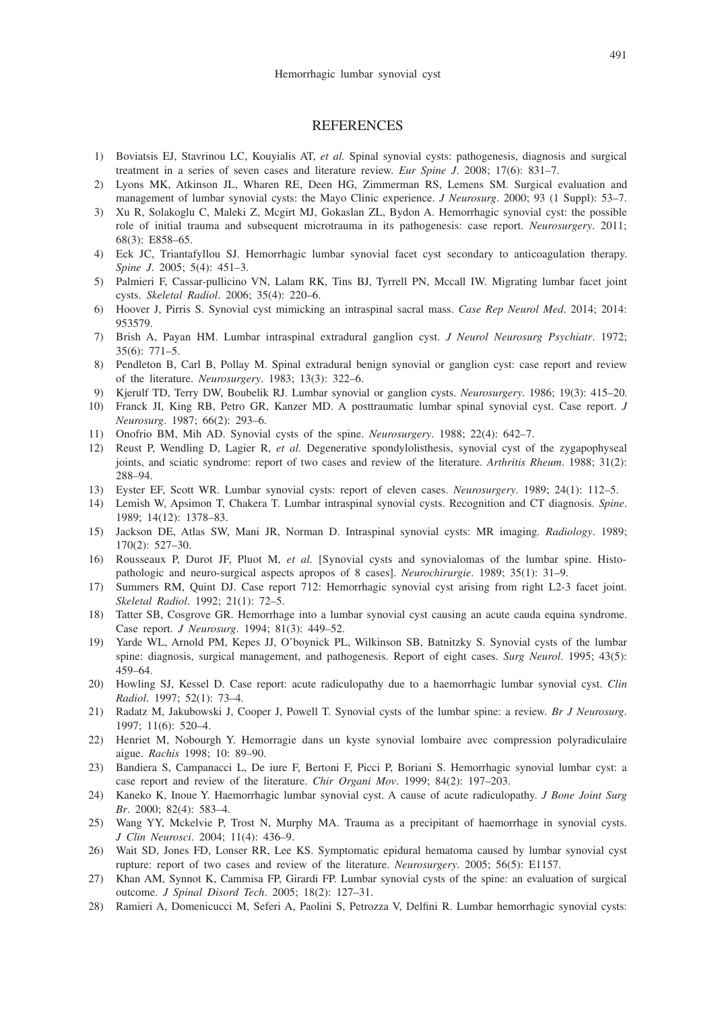#### **REFERENCES**

- 1) Boviatsis EJ, Stavrinou LC, Kouyialis AT, *et al.* Spinal synovial cysts: pathogenesis, diagnosis and surgical treatment in a series of seven cases and literature review. *Eur Spine J*. 2008; 17(6): 831–7.
- 2) Lyons MK, Atkinson JL, Wharen RE, Deen HG, Zimmerman RS, Lemens SM. Surgical evaluation and management of lumbar synovial cysts: the Mayo Clinic experience. *J Neurosurg*. 2000; 93 (1 Suppl): 53–7.
- 3) Xu R, Solakoglu C, Maleki Z, Mcgirt MJ, Gokaslan ZL, Bydon A. Hemorrhagic synovial cyst: the possible role of initial trauma and subsequent microtrauma in its pathogenesis: case report. *Neurosurgery*. 2011; 68(3): E858–65.
- 4) Eck JC, Triantafyllou SJ. Hemorrhagic lumbar synovial facet cyst secondary to anticoagulation therapy. *Spine J*. 2005; 5(4): 451–3.
- 5) Palmieri F, Cassar-pullicino VN, Lalam RK, Tins BJ, Tyrrell PN, Mccall IW. Migrating lumbar facet joint cysts. *Skeletal Radiol*. 2006; 35(4): 220–6.
- 6) Hoover J, Pirris S. Synovial cyst mimicking an intraspinal sacral mass. *Case Rep Neurol Med*. 2014; 2014: 953579.
- 7) Brish A, Payan HM. Lumbar intraspinal extradural ganglion cyst. *J Neurol Neurosurg Psychiatr*. 1972; 35(6): 771–5.
- 8) Pendleton B, Carl B, Pollay M. Spinal extradural benign synovial or ganglion cyst: case report and review of the literature. *Neurosurgery*. 1983; 13(3): 322–6.
- 9) Kjerulf TD, Terry DW, Boubelik RJ. Lumbar synovial or ganglion cysts. *Neurosurgery*. 1986; 19(3): 415–20.
- 10) Franck JI, King RB, Petro GR, Kanzer MD. A posttraumatic lumbar spinal synovial cyst. Case report. *J Neurosurg*. 1987; 66(2): 293–6.
- 11) Onofrio BM, Mih AD. Synovial cysts of the spine. *Neurosurgery*. 1988; 22(4): 642–7.
- 12) Reust P, Wendling D, Lagier R, *et al.* Degenerative spondylolisthesis, synovial cyst of the zygapophyseal joints, and sciatic syndrome: report of two cases and review of the literature. *Arthritis Rheum*. 1988; 31(2): 288–94.
- 13) Eyster EF, Scott WR. Lumbar synovial cysts: report of eleven cases. *Neurosurgery*. 1989; 24(1): 112–5.
- 14) Lemish W, Apsimon T, Chakera T. Lumbar intraspinal synovial cysts. Recognition and CT diagnosis. *Spine*. 1989; 14(12): 1378–83.
- 15) Jackson DE, Atlas SW, Mani JR, Norman D. Intraspinal synovial cysts: MR imaging. *Radiology*. 1989; 170(2): 527–30.
- 16) Rousseaux P, Durot JF, Pluot M, *et al.* [Synovial cysts and synovialomas of the lumbar spine. Histopathologic and neuro-surgical aspects apropos of 8 cases]. *Neurochirurgie*. 1989; 35(1): 31–9.
- 17) Summers RM, Quint DJ. Case report 712: Hemorrhagic synovial cyst arising from right L2-3 facet joint. *Skeletal Radiol*. 1992; 21(1): 72–5.
- 18) Tatter SB, Cosgrove GR. Hemorrhage into a lumbar synovial cyst causing an acute cauda equina syndrome. Case report. *J Neurosurg*. 1994; 81(3): 449–52.
- 19) Yarde WL, Arnold PM, Kepes JJ, O'boynick PL, Wilkinson SB, Batnitzky S. Synovial cysts of the lumbar spine: diagnosis, surgical management, and pathogenesis. Report of eight cases. *Surg Neurol*. 1995; 43(5): 459–64.
- 20) Howling SJ, Kessel D. Case report: acute radiculopathy due to a haemorrhagic lumbar synovial cyst. *Clin Radiol*. 1997; 52(1): 73–4.
- 21) Radatz M, Jakubowski J, Cooper J, Powell T. Synovial cysts of the lumbar spine: a review. *Br J Neurosurg*. 1997; 11(6): 520–4.
- 22) Henriet M, Nobourgh Y. Hemorragie dans un kyste synovial lombaire avec compression polyradiculaire aigue. *Rachis* 1998; 10: 89–90.
- 23) Bandiera S, Campanacci L, De iure F, Bertoni F, Picci P, Boriani S. Hemorrhagic synovial lumbar cyst: a case report and review of the literature. *Chir Organi Mov*. 1999; 84(2): 197–203.
- 24) Kaneko K, Inoue Y. Haemorrhagic lumbar synovial cyst. A cause of acute radiculopathy. *J Bone Joint Surg Br*. 2000; 82(4): 583–4.
- 25) Wang YY, Mckelvie P, Trost N, Murphy MA. Trauma as a precipitant of haemorrhage in synovial cysts. *J Clin Neurosci*. 2004; 11(4): 436–9.
- 26) Wait SD, Jones FD, Lonser RR, Lee KS. Symptomatic epidural hematoma caused by lumbar synovial cyst rupture: report of two cases and review of the literature. *Neurosurgery*. 2005; 56(5): E1157.
- 27) Khan AM, Synnot K, Cammisa FP, Girardi FP. Lumbar synovial cysts of the spine: an evaluation of surgical outcome. *J Spinal Disord Tech*. 2005; 18(2): 127–31.
- 28) Ramieri A, Domenicucci M, Seferi A, Paolini S, Petrozza V, Delfini R. Lumbar hemorrhagic synovial cysts: